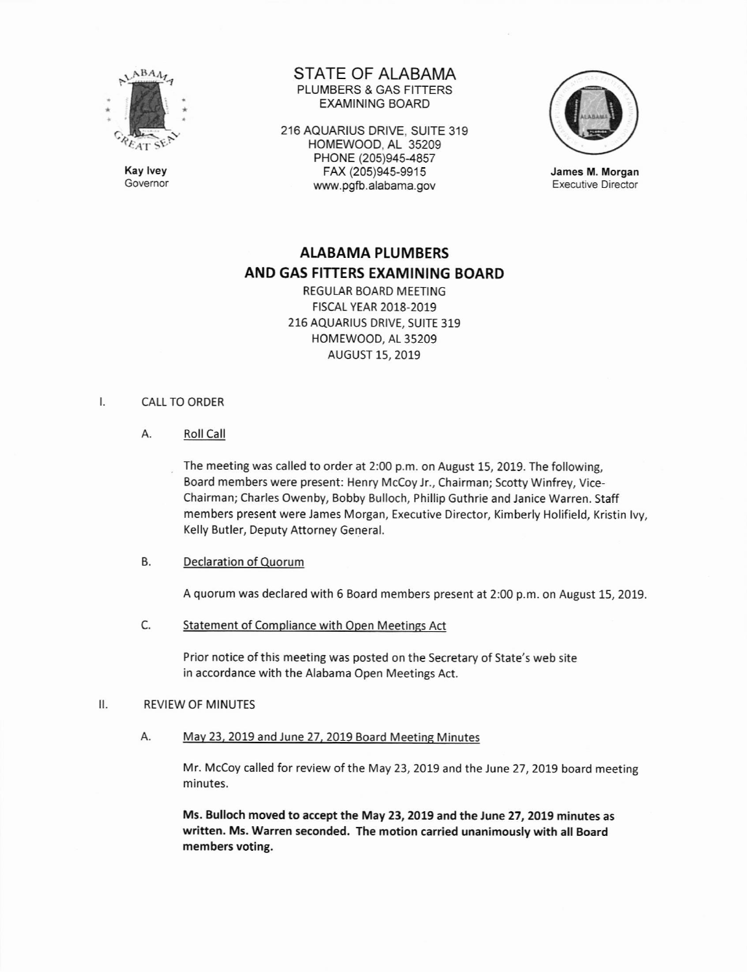

Kay lvey Governor STATE OF ALABAMA PLUMBERS & GAS FITTERS EXAMINING BOARD

216 AQUARIUS DRIVE, SUITE 319 HOMEWOOD, AL 35209 PHONE (205)945-4857 FAX (205)94s-9915 www.pgfb.alabama.gov



James M. Morgan Executive Director

# AIABAMA PLUMBERS AND GAS FITTERS EXAMINING BOARD

REGULAR BOARD MEETING FISCAI YEAR 2018-2019 215 AQUARIUS DRIVE, SUITE 319 HOMEWOOO, AL 35209 AUGUST 15, 2019

#### $\mathsf{I}$ . CALL TO ORDER

A. Roll Call

The meeting was called to order at 2:00 p.m. on August 15, 2019. The following, Board members were present: Henry Mccoy jr., Chairman; Scotty Winfrey, Vice-Chairman; Charles Owenby, Bobby Bulloch, Phillip Guthrie and Janice Warren. Staff members present were James Morgan, Executive Director, Kimberly Holifield, Kristin lvy, Kelly Butler, Deputy Attorney General.

### B. Declaration of Quorum

A quorum was declared with 6 Board members present at 2:00 p.m. on August 15,2019.

C. Statement of Compliance with Open Meetings Act

Prior notice of this meeting was posted on the secretary of State's web site in accordance with the Alabama Open Meetings Act.

# II, REVIEW OF MINUTES

A. May 23, 2019 and June 27, 2019 Board Meeting Minutes

Mr. McCoy called for review of the May 23, 2019 and the June 27, 2019 board meeting minutes.

Ms. Bulloch moved to accept the May 23, 2019 and the lune 27,2019 minutes as written. Ms. Warren seconded. The motion carried unanimously with all Board members voting.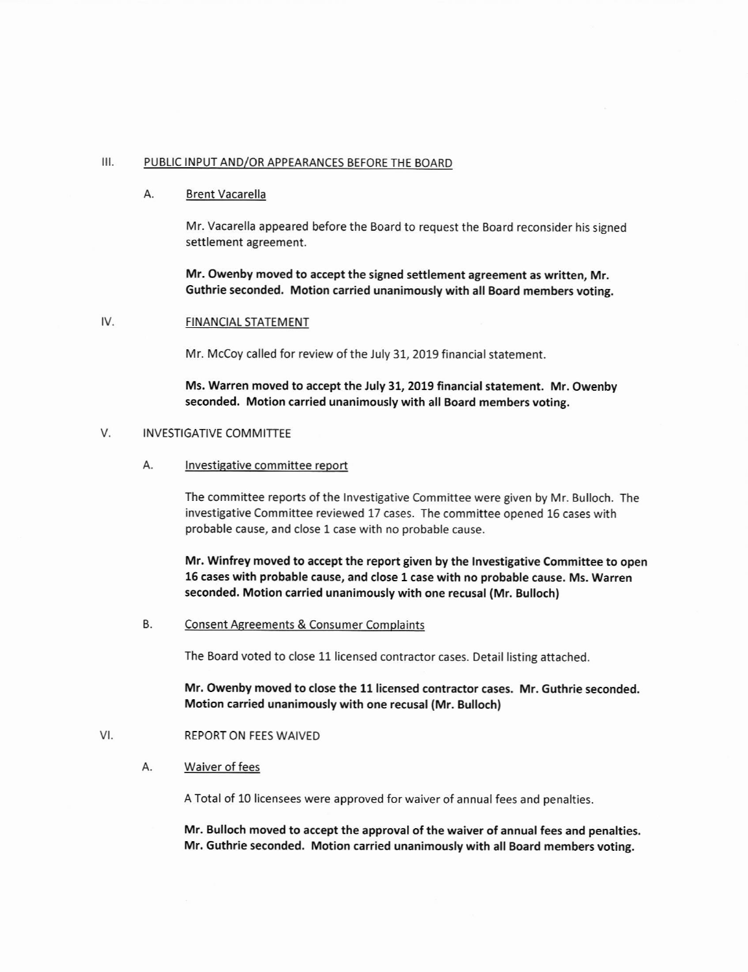### III. PUBLIC INPUT AND/OR APPEARANCES BEFORE THE BOARD

#### Α. Brent Vacarella

Mr. Vacarella appeared before the Board to request the Board reconsider his signed settlement agreement.

Mr. Owenby moved to accept the signed settlement agreement as written, Mr. Guthrie seconded. Motion carried unanimously with all Board members voting.

#### IV. FINANCIAL STATEMENT

Mr. McCoy called for review of the July 31, 2019 financial statement.

Ms. Warren moved to accept the July 31, 2019 financial statement. Mr. Owenby seconded, Motion carried unanimously with all Board members voting,

#### V. INVESTIGATIVE COMMITTEE

A. Investigative committee report

The committee reports of the lnvestigative Committee were given by Mr. Bulloch. The investigative Committee reviewed 17 cases. The committee opened 15 cases with probable cause, and close I case with no probable cause.

Mr. Winfrey moved to accept the report given by the Investigative Committee to open 15 cases with probable cause, and close 1 case with no probable cause, Ms. Warren seconded. Motion carried unanimously with one recusal (Mr. Bulloch)

B. Consent Agreements & Consumer Complaints

The Board voted to close 11 licensed contractor cases. Detail listing attached.

Mr, Owenby moved to close the 11 licensed contractor cases. Mr. Guthrie seconded. Motion carried unanimously with one recusal (Mr. Bullochl

#### VI. REPORT ON FEES WAIVED

Waiver of fees А.

A Total of 10 licensees were approved for waiver of annual fees and penalties

Mr. Bulloch moved to accept the approval of the waiver of annual fees and penalties. Mr. Guthrie seconded. Motion carried unanimously with all Board members voting.